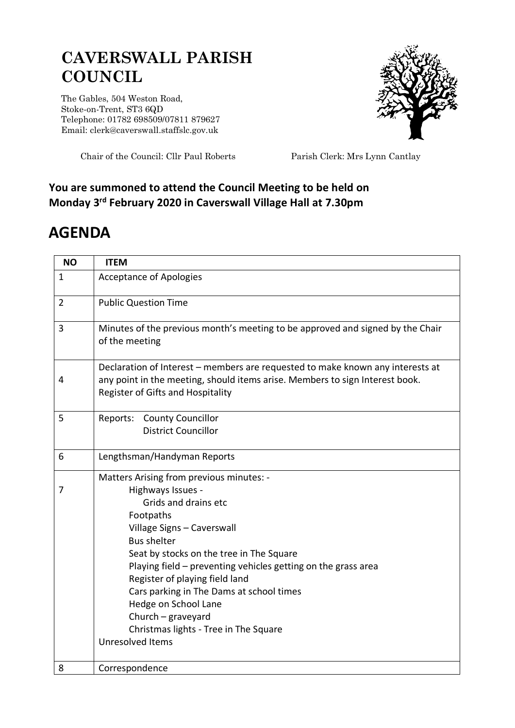## **CAVERSWALL PARISH COUNCIL**

The Gables, 504 Weston Road, Stoke-on-Trent, ST3 6QD Telephone: 01782 698509/07811 879627 Email: clerk@caverswall.staffslc.gov.uk



Chair of the Council: Cllr Paul Roberts Parish Clerk: Mrs Lynn Cantlay

## **You are summoned to attend the Council Meeting to be held on Monday 3 rd February 2020 in Caverswall Village Hall at 7.30pm**

## **AGENDA**

| <b>NO</b>      | <b>ITEM</b>                                                                                                                                                                                                                                                                                                                                                                                                                                                  |
|----------------|--------------------------------------------------------------------------------------------------------------------------------------------------------------------------------------------------------------------------------------------------------------------------------------------------------------------------------------------------------------------------------------------------------------------------------------------------------------|
| $\mathbf{1}$   | <b>Acceptance of Apologies</b>                                                                                                                                                                                                                                                                                                                                                                                                                               |
| $\overline{2}$ | <b>Public Question Time</b>                                                                                                                                                                                                                                                                                                                                                                                                                                  |
| 3              | Minutes of the previous month's meeting to be approved and signed by the Chair<br>of the meeting                                                                                                                                                                                                                                                                                                                                                             |
| 4              | Declaration of Interest - members are requested to make known any interests at<br>any point in the meeting, should items arise. Members to sign Interest book.<br>Register of Gifts and Hospitality                                                                                                                                                                                                                                                          |
| 5              | Reports: County Councillor<br><b>District Councillor</b>                                                                                                                                                                                                                                                                                                                                                                                                     |
| 6              | Lengthsman/Handyman Reports                                                                                                                                                                                                                                                                                                                                                                                                                                  |
| 7              | Matters Arising from previous minutes: -<br>Highways Issues -<br>Grids and drains etc<br>Footpaths<br>Village Signs - Caverswall<br><b>Bus shelter</b><br>Seat by stocks on the tree in The Square<br>Playing field - preventing vehicles getting on the grass area<br>Register of playing field land<br>Cars parking in The Dams at school times<br>Hedge on School Lane<br>Church - graveyard<br>Christmas lights - Tree in The Square<br>Unresolved Items |
| 8              | Correspondence                                                                                                                                                                                                                                                                                                                                                                                                                                               |